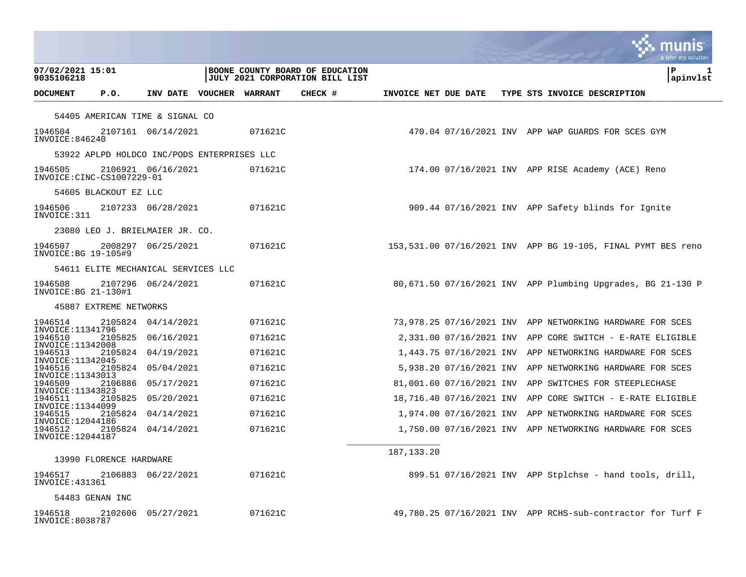|                                             |                         |                                     |  |                |                                                                           |                      |                          |  |  |                                                              | munis<br>a tyler erp solution |
|---------------------------------------------|-------------------------|-------------------------------------|--|----------------|---------------------------------------------------------------------------|----------------------|--------------------------|--|--|--------------------------------------------------------------|-------------------------------|
| 07/02/2021 15:01<br>9035106218              |                         |                                     |  |                | BOONE COUNTY BOARD OF EDUCATION<br><b>JULY 2021 CORPORATION BILL LIST</b> |                      |                          |  |  |                                                              | l P<br>ı<br>apinvlst          |
| <b>DOCUMENT</b>                             | P.0.                    | INV DATE VOUCHER                    |  | <b>WARRANT</b> | CHECK #                                                                   | INVOICE NET DUE DATE |                          |  |  | TYPE STS INVOICE DESCRIPTION                                 |                               |
|                                             |                         | 54405 AMERICAN TIME & SIGNAL CO     |  |                |                                                                           |                      |                          |  |  |                                                              |                               |
| 1946504<br>INVOICE:846240                   |                         | 2107161 06/14/2021                  |  | 071621C        |                                                                           |                      |                          |  |  | 470.04 07/16/2021 INV APP WAP GUARDS FOR SCES GYM            |                               |
| 53922 APLPD HOLDCO INC/PODS ENTERPRISES LLC |                         |                                     |  |                |                                                                           |                      |                          |  |  |                                                              |                               |
| 1946505<br>INVOICE:CINC-CS1007229-01        |                         | 2106921 06/16/2021                  |  | 071621C        |                                                                           |                      |                          |  |  | 174.00 07/16/2021 INV APP RISE Academy (ACE) Reno            |                               |
|                                             | 54605 BLACKOUT EZ LLC   |                                     |  |                |                                                                           |                      |                          |  |  |                                                              |                               |
| 1946506<br>INVOICE: 311                     |                         | 2107233 06/28/2021                  |  | 071621C        |                                                                           |                      |                          |  |  | 909.44 07/16/2021 INV APP Safety blinds for Ignite           |                               |
|                                             |                         | 23080 LEO J. BRIELMAIER JR. CO.     |  |                |                                                                           |                      |                          |  |  |                                                              |                               |
| 1946507<br>INVOICE: BG 19-105#9             |                         | 2008297 06/25/2021                  |  | 071621C        |                                                                           |                      |                          |  |  | 153,531.00 07/16/2021 INV APP BG 19-105, FINAL PYMT BES reno |                               |
|                                             |                         | 54611 ELITE MECHANICAL SERVICES LLC |  |                |                                                                           |                      |                          |  |  |                                                              |                               |
| 1946508<br>INVOICE: BG 21-130#1             |                         | 2107296 06/24/2021                  |  | 071621C        |                                                                           |                      |                          |  |  | 80,671.50 07/16/2021 INV APP Plumbing Upgrades, BG 21-130 P  |                               |
|                                             | 45887 EXTREME NETWORKS  |                                     |  |                |                                                                           |                      |                          |  |  |                                                              |                               |
| 1946514<br>INVOICE: 11341796                |                         | 2105824 04/14/2021                  |  | 071621C        |                                                                           |                      |                          |  |  | 73,978.25 07/16/2021 INV APP NETWORKING HARDWARE FOR SCES    |                               |
| 1946510<br>INVOICE: 11342008                |                         | 2105825 06/16/2021                  |  | 071621C        |                                                                           |                      | 2,331.00 07/16/2021 INV  |  |  | APP CORE SWITCH - E-RATE ELIGIBLE                            |                               |
| 1946513<br>INVOICE: 11342045                | 2105824                 | 04/19/2021                          |  | 071621C        |                                                                           |                      | 1,443.75 07/16/2021 INV  |  |  | APP NETWORKING HARDWARE FOR SCES                             |                               |
| 1946516<br>INVOICE: 11343013                |                         | 2105824 05/04/2021                  |  | 071621C        |                                                                           |                      | 5,938.20 07/16/2021 INV  |  |  | APP NETWORKING HARDWARE FOR SCES                             |                               |
| 1946509<br>INVOICE: 11343823                |                         | 2106886 05/17/2021                  |  | 071621C        |                                                                           |                      | 81,001.60 07/16/2021 INV |  |  | APP SWITCHES FOR STEEPLECHASE                                |                               |
| 1946511<br>INVOICE: 11344099                | 2105825                 | 05/20/2021                          |  | 071621C        |                                                                           |                      | 18,716.40 07/16/2021 INV |  |  | APP CORE SWITCH - E-RATE ELIGIBLE                            |                               |
| 1946515<br>INVOICE: 12044186                |                         | 2105824 04/14/2021                  |  | 071621C        |                                                                           |                      | 1,974.00 07/16/2021 INV  |  |  | APP NETWORKING HARDWARE FOR SCES                             |                               |
| 1946512<br>INVOICE: 12044187                |                         | 2105824 04/14/2021                  |  | 071621C        |                                                                           |                      |                          |  |  | 1,750.00 07/16/2021 INV APP NETWORKING HARDWARE FOR SCES     |                               |
|                                             | 13990 FLORENCE HARDWARE |                                     |  |                |                                                                           | 187, 133. 20         |                          |  |  |                                                              |                               |
| 1946517<br>INVOICE: 431361                  |                         | 2106883 06/22/2021                  |  | 071621C        |                                                                           |                      |                          |  |  | 899.51 $07/16/2021$ INV APP Stplchse - hand tools, drill,    |                               |
| 54483 GENAN INC                             |                         |                                     |  |                |                                                                           |                      |                          |  |  |                                                              |                               |
| 1946518<br>INVOICE:8038787                  | 2102606                 | 05/27/2021                          |  | 071621C        |                                                                           |                      |                          |  |  | 49,780.25 07/16/2021 INV APP RCHS-sub-contractor for Turf F  |                               |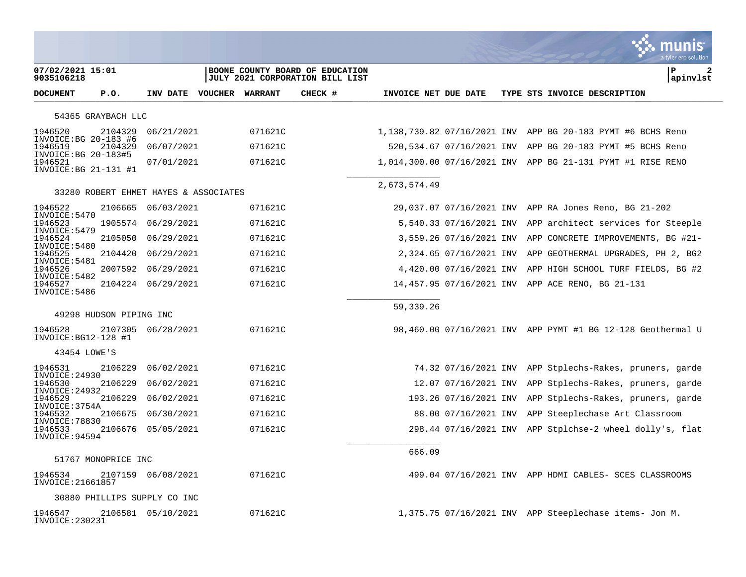|                                                          |                         |                                       |         |                                                                    |                      |                         |  |                                                             | a tyler erp solution |
|----------------------------------------------------------|-------------------------|---------------------------------------|---------|--------------------------------------------------------------------|----------------------|-------------------------|--|-------------------------------------------------------------|----------------------|
| 07/02/2021 15:01<br>9035106218                           |                         |                                       |         | BOONE COUNTY BOARD OF EDUCATION<br>JULY 2021 CORPORATION BILL LIST |                      |                         |  |                                                             | ΙP<br>2<br>apinvlst  |
| <b>DOCUMENT</b>                                          | P.O.                    | INV DATE VOUCHER WARRANT              |         | CHECK #                                                            | INVOICE NET DUE DATE |                         |  | TYPE STS INVOICE DESCRIPTION                                |                      |
|                                                          | 54365 GRAYBACH LLC      |                                       |         |                                                                    |                      |                         |  |                                                             |                      |
| 1946520                                                  | 2104329                 | 06/21/2021                            | 071621C |                                                                    |                      |                         |  | 1,138,739.82 07/16/2021 INV APP BG 20-183 PYMT #6 BCHS Reno |                      |
| INVOICE: BG 20-183 #6<br>1946519<br>INVOICE: BG 20-183#5 | 2104329                 | 06/07/2021                            | 071621C |                                                                    |                      |                         |  | 520,534.67 07/16/2021 INV APP BG 20-183 PYMT #5 BCHS Reno   |                      |
| 1946521<br>INVOICE: BG 21-131 #1                         |                         | 07/01/2021                            | 071621C |                                                                    |                      |                         |  | 1,014,300.00 07/16/2021 INV APP BG 21-131 PYMT #1 RISE RENO |                      |
|                                                          |                         | 33280 ROBERT EHMET HAYES & ASSOCIATES |         |                                                                    | 2,673,574.49         |                         |  |                                                             |                      |
| 1946522                                                  | 2106665                 | 06/03/2021                            | 071621C |                                                                    |                      |                         |  | 29,037.07 07/16/2021 INV APP RA Jones Reno, BG 21-202       |                      |
| INVOICE: 5470<br>1946523                                 |                         | 1905574 06/29/2021                    | 071621C |                                                                    |                      | 5,540.33 07/16/2021 INV |  | APP architect services for Steeple                          |                      |
| INVOICE: 5479<br>1946524                                 | 2105050                 | 06/29/2021                            | 071621C |                                                                    |                      | 3,559.26 07/16/2021 INV |  | APP CONCRETE IMPROVEMENTS, BG #21-                          |                      |
| INVOICE: 5480<br>1946525                                 | 2104420                 | 06/29/2021                            | 071621C |                                                                    |                      | 2,324.65 07/16/2021 INV |  | APP GEOTHERMAL UPGRADES, PH 2, BG2                          |                      |
| INVOICE: 5481<br>1946526                                 | 2007592                 | 06/29/2021                            | 071621C |                                                                    |                      | 4,420.00 07/16/2021 INV |  | APP HIGH SCHOOL TURF FIELDS, BG #2                          |                      |
| INVOICE: 5482<br>1946527<br>INVOICE: 5486                |                         | 2104224 06/29/2021                    | 071621C |                                                                    |                      |                         |  | 14,457.95 07/16/2021 INV APP ACE RENO, BG 21-131            |                      |
|                                                          |                         |                                       |         |                                                                    | 59, 339. 26          |                         |  |                                                             |                      |
|                                                          | 49298 HUDSON PIPING INC |                                       |         |                                                                    |                      |                         |  |                                                             |                      |
| 1946528<br>INVOICE: BG12-128 #1                          |                         | 2107305 06/28/2021                    | 071621C |                                                                    |                      |                         |  | 98,460.00 07/16/2021 INV APP PYMT #1 BG 12-128 Geothermal U |                      |
| 43454 LOWE'S                                             |                         |                                       |         |                                                                    |                      |                         |  |                                                             |                      |
| 1946531<br>INVOICE: 24930                                | 2106229                 | 06/02/2021                            | 071621C |                                                                    |                      |                         |  | 74.32 07/16/2021 INV APP Stplechs-Rakes, pruners, garde     |                      |
| 1946530<br>INVOICE: 24932                                | 2106229                 | 06/02/2021                            | 071621C |                                                                    |                      | 12.07 07/16/2021 INV    |  | APP Stplechs-Rakes, pruners, garde                          |                      |
| 1946529<br>INVOICE: 3754A                                | 2106229                 | 06/02/2021                            | 071621C |                                                                    |                      | 193.26 07/16/2021 INV   |  | APP Stplechs-Rakes, pruners, garde                          |                      |
| 1946532<br>INVOICE: 78830                                | 2106675                 | 06/30/2021                            | 071621C |                                                                    |                      | 88.00 07/16/2021 INV    |  | APP Steeplechase Art Classroom                              |                      |
| 1946533<br>INVOICE: 94594                                | 2106676                 | 05/05/2021                            | 071621C |                                                                    |                      | 298.44 07/16/2021 INV   |  | APP Stplchse-2 wheel dolly's, flat                          |                      |
|                                                          | 51767 MONOPRICE INC     |                                       |         |                                                                    | 666.09               |                         |  |                                                             |                      |
| 1946534<br>INVOICE: 21661857                             |                         | 2107159 06/08/2021                    | 071621C |                                                                    |                      |                         |  | 499.04 07/16/2021 INV APP HDMI CABLES- SCES CLASSROOMS      |                      |
|                                                          |                         | 30880 PHILLIPS SUPPLY CO INC          |         |                                                                    |                      |                         |  |                                                             |                      |
| 1946547<br>INVOICE: 230231                               |                         | 2106581 05/10/2021                    | 071621C |                                                                    |                      |                         |  | 1,375.75 07/16/2021 INV APP Steeplechase items- Jon M.      |                      |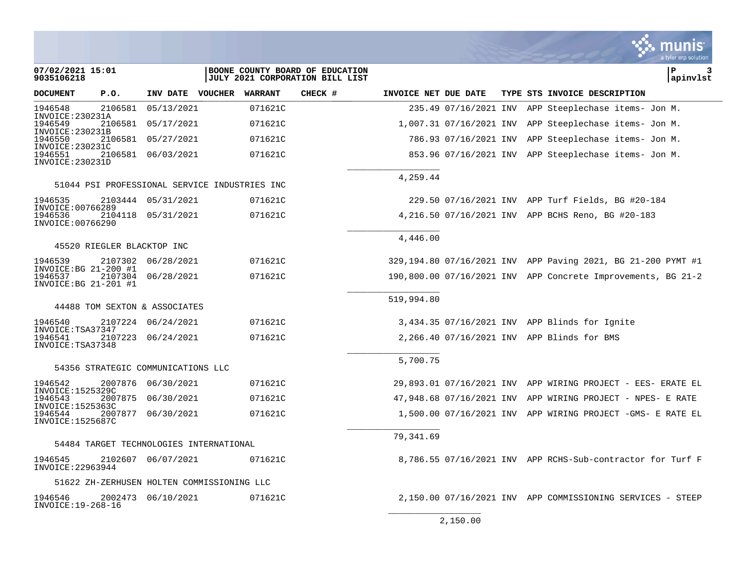|                                                                                              |                                               |                    |                |                                                                           |                      |                          |  |                                                                 | a tyler erp solution |
|----------------------------------------------------------------------------------------------|-----------------------------------------------|--------------------|----------------|---------------------------------------------------------------------------|----------------------|--------------------------|--|-----------------------------------------------------------------|----------------------|
| 07/02/2021 15:01<br>9035106218                                                               |                                               |                    |                | BOONE COUNTY BOARD OF EDUCATION<br><b>JULY 2021 CORPORATION BILL LIST</b> |                      |                          |  |                                                                 | P<br>з<br>apinvlst   |
| <b>DOCUMENT</b>                                                                              | P.O.                                          | INV DATE VOUCHER   | <b>WARRANT</b> | CHECK #                                                                   | INVOICE NET DUE DATE |                          |  | TYPE STS INVOICE DESCRIPTION                                    |                      |
| 1946548<br>INVOICE: 230231A                                                                  | 2106581                                       | 05/13/2021         | 071621C        |                                                                           |                      | 235.49 07/16/2021 INV    |  | APP Steeplechase items- Jon M.                                  |                      |
| 1946549                                                                                      | 2106581                                       | 05/17/2021         | 071621C        |                                                                           |                      | 1,007.31 07/16/2021 INV  |  | APP Steeplechase items- Jon M.                                  |                      |
| INVOICE: 230231B<br>1946550<br>INVOICE: 230231C                                              | 2106581                                       | 05/27/2021         | 071621C        |                                                                           |                      | 786.93 07/16/2021 INV    |  | APP Steeplechase items- Jon M.                                  |                      |
| 1946551<br>INVOICE: 230231D                                                                  |                                               | 2106581 06/03/2021 | 071621C        |                                                                           |                      |                          |  | 853.96 07/16/2021 INV APP Steeplechase items- Jon M.            |                      |
|                                                                                              | 51044 PSI PROFESSIONAL SERVICE INDUSTRIES INC |                    |                |                                                                           | 4,259.44             |                          |  |                                                                 |                      |
| 1946535                                                                                      |                                               | 2103444 05/31/2021 | 071621C        |                                                                           |                      |                          |  | 229.50 07/16/2021 INV APP Turf Fields, BG #20-184               |                      |
| INVOICE: 00766289<br>1946536<br>INVOICE: 00766290                                            | 2104118                                       | 05/31/2021         | 071621C        |                                                                           |                      |                          |  | 4,216.50 07/16/2021 INV APP BCHS Reno, BG #20-183               |                      |
|                                                                                              | 45520 RIEGLER BLACKTOP INC                    |                    |                |                                                                           | 4,446.00             |                          |  |                                                                 |                      |
| 1946539                                                                                      | 2107302                                       | 06/28/2021         | 071621C        |                                                                           |                      |                          |  | 329,194.80 07/16/2021 INV APP Paving 2021, BG 21-200 PYMT #1    |                      |
| INVOICE: BG 21-200 #1<br>1946537<br>$INVOICE: BG 21-201$ #1                                  | 2107304                                       | 06/28/2021         | 071621C        |                                                                           |                      |                          |  | 190,800.00 07/16/2021 INV APP Concrete Improvements, BG 21-2    |                      |
|                                                                                              | 44488 TOM SEXTON & ASSOCIATES                 |                    |                |                                                                           | 519,994.80           |                          |  |                                                                 |                      |
| 1946540<br>INVOICE: TSA37347<br>1946541<br>INVOICE: TSA37348                                 | 2107224                                       | 06/24/2021         | 071621C        |                                                                           |                      |                          |  | 3,434.35 07/16/2021 INV APP Blinds for Ignite                   |                      |
|                                                                                              | 2107223                                       | 06/24/2021         | 071621C        |                                                                           |                      |                          |  | 2,266.40 07/16/2021 INV APP Blinds for BMS                      |                      |
|                                                                                              |                                               |                    |                |                                                                           | 5,700.75             |                          |  |                                                                 |                      |
|                                                                                              | 54356 STRATEGIC COMMUNICATIONS LLC            |                    |                |                                                                           |                      |                          |  |                                                                 |                      |
| 1946542<br>INVOICE: 1525329C<br>1946543<br>INVOICE: 1525363C<br>1946544<br>INVOICE: 1525687C | 2007876                                       | 06/30/2021         | 071621C        |                                                                           |                      |                          |  | 29,893.01  07/16/2021  INV  APP WIRING  PROJECT - EES- ERATE EL |                      |
|                                                                                              | 2007875                                       | 06/30/2021         | 071621C        |                                                                           |                      | 47,948.68 07/16/2021 INV |  | APP WIRING PROJECT - NPES- E RATE                               |                      |
|                                                                                              | 2007877                                       | 06/30/2021         | 071621C        |                                                                           |                      |                          |  | $1,500.00$ 07/16/2021 INV APP WIRING PROJECT -GMS- E RATE EL    |                      |
|                                                                                              | 54484 TARGET TECHNOLOGIES INTERNATIONAL       |                    |                |                                                                           | 79,341.69            |                          |  |                                                                 |                      |
| 1946545<br>INVOICE: 22963944                                                                 |                                               | 2102607 06/07/2021 | 071621C        |                                                                           |                      |                          |  | 8,786.55 07/16/2021 INV APP RCHS-Sub-contractor for Turf F      |                      |
|                                                                                              | 51622 ZH-ZERHUSEN HOLTEN COMMISSIONING LLC    |                    |                |                                                                           |                      |                          |  |                                                                 |                      |
| 1946546<br>INVOICE: 19-268-16                                                                |                                               | 2002473 06/10/2021 | 071621C        |                                                                           |                      |                          |  | 2,150.00 07/16/2021 INV APP COMMISSIONING SERVICES - STEEP      |                      |
|                                                                                              |                                               |                    |                |                                                                           |                      | 2,150.00                 |  |                                                                 |                      |